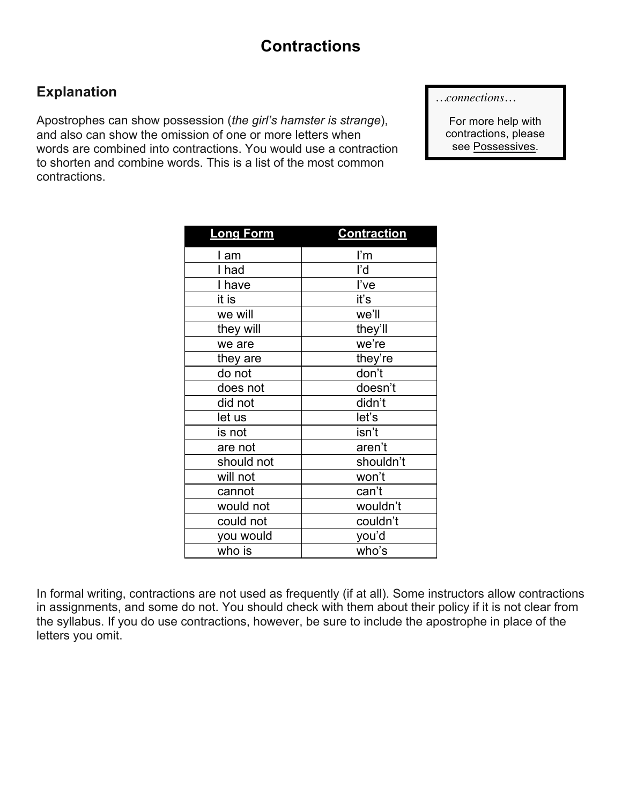## **Contractions**

## **Explanation**

Apostrophes can show possession (*the girl's hamster is strange*), and also can show the omission of one or more letters when words are combined into contractions. You would use a contraction to shorten and combine words. This is a list of the most common contractions.

*…connections…*

For more help with contractions, please see Possessives.

| <b>Long Form</b> | <b>Contraction</b> |
|------------------|--------------------|
| I am             | ľm                 |
| I had            | ľd                 |
| I have           | l've               |
| it is            | iťs                |
| we will          | we'll              |
| they will        | they'll            |
| we are           | we're              |
| they are         | they're            |
| do not           | don't              |
| does not         | doesn't            |
| did not          | didn't             |
| let us           | let's              |
| is not           | isn't              |
| are not          | aren't             |
| should not       | shouldn't          |
| will not         | won't              |
| cannot           | can't              |
| would not        | wouldn't           |
| could not        | couldn't           |
| you would        | you'd              |
| who is           | who's              |

In formal writing, contractions are not used as frequently (if at all). Some instructors allow contractions in assignments, and some do not. You should check with them about their policy if it is not clear from the syllabus. If you do use contractions, however, be sure to include the apostrophe in place of the letters you omit.